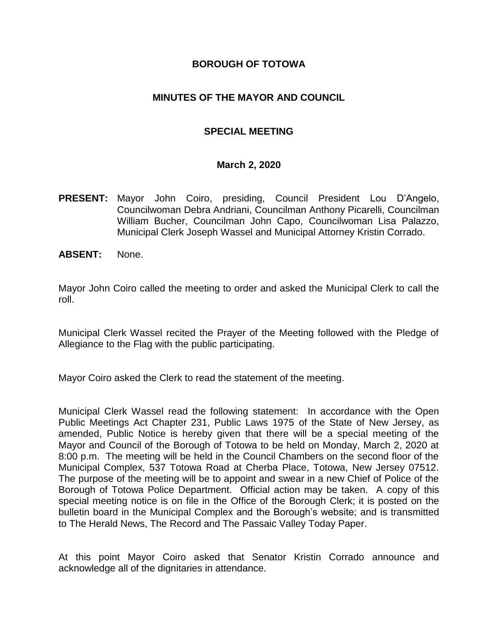### **BOROUGH OF TOTOWA**

### **MINUTES OF THE MAYOR AND COUNCIL**

# **SPECIAL MEETING**

#### **March 2, 2020**

- **PRESENT:** Mayor John Coiro, presiding, Council President Lou D'Angelo, Councilwoman Debra Andriani, Councilman Anthony Picarelli, Councilman William Bucher, Councilman John Capo, Councilwoman Lisa Palazzo, Municipal Clerk Joseph Wassel and Municipal Attorney Kristin Corrado.
- **ABSENT:** None.

Mayor John Coiro called the meeting to order and asked the Municipal Clerk to call the roll.

Municipal Clerk Wassel recited the Prayer of the Meeting followed with the Pledge of Allegiance to the Flag with the public participating.

Mayor Coiro asked the Clerk to read the statement of the meeting.

Municipal Clerk Wassel read the following statement: In accordance with the Open Public Meetings Act Chapter 231, Public Laws 1975 of the State of New Jersey, as amended, Public Notice is hereby given that there will be a special meeting of the Mayor and Council of the Borough of Totowa to be held on Monday, March 2, 2020 at 8:00 p.m. The meeting will be held in the Council Chambers on the second floor of the Municipal Complex, 537 Totowa Road at Cherba Place, Totowa, New Jersey 07512. The purpose of the meeting will be to appoint and swear in a new Chief of Police of the Borough of Totowa Police Department. Official action may be taken. A copy of this special meeting notice is on file in the Office of the Borough Clerk; it is posted on the bulletin board in the Municipal Complex and the Borough's website; and is transmitted to The Herald News, The Record and The Passaic Valley Today Paper.

At this point Mayor Coiro asked that Senator Kristin Corrado announce and acknowledge all of the dignitaries in attendance.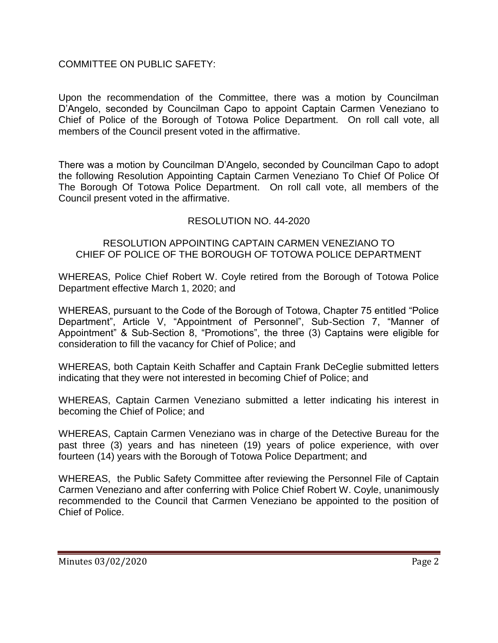# COMMITTEE ON PUBLIC SAFETY:

Upon the recommendation of the Committee, there was a motion by Councilman D'Angelo, seconded by Councilman Capo to appoint Captain Carmen Veneziano to Chief of Police of the Borough of Totowa Police Department. On roll call vote, all members of the Council present voted in the affirmative.

There was a motion by Councilman D'Angelo, seconded by Councilman Capo to adopt the following Resolution Appointing Captain Carmen Veneziano To Chief Of Police Of The Borough Of Totowa Police Department. On roll call vote, all members of the Council present voted in the affirmative.

# RESOLUTION NO. 44-2020

#### RESOLUTION APPOINTING CAPTAIN CARMEN VENEZIANO TO CHIEF OF POLICE OF THE BOROUGH OF TOTOWA POLICE DEPARTMENT

WHEREAS, Police Chief Robert W. Coyle retired from the Borough of Totowa Police Department effective March 1, 2020; and

WHEREAS, pursuant to the Code of the Borough of Totowa, Chapter 75 entitled "Police Department", Article V, "Appointment of Personnel", Sub-Section 7, "Manner of Appointment" & Sub-Section 8, "Promotions", the three (3) Captains were eligible for consideration to fill the vacancy for Chief of Police; and

WHEREAS, both Captain Keith Schaffer and Captain Frank DeCeglie submitted letters indicating that they were not interested in becoming Chief of Police; and

WHEREAS, Captain Carmen Veneziano submitted a letter indicating his interest in becoming the Chief of Police; and

WHEREAS, Captain Carmen Veneziano was in charge of the Detective Bureau for the past three (3) years and has nineteen (19) years of police experience, with over fourteen (14) years with the Borough of Totowa Police Department; and

WHEREAS, the Public Safety Committee after reviewing the Personnel File of Captain Carmen Veneziano and after conferring with Police Chief Robert W. Coyle, unanimously recommended to the Council that Carmen Veneziano be appointed to the position of Chief of Police.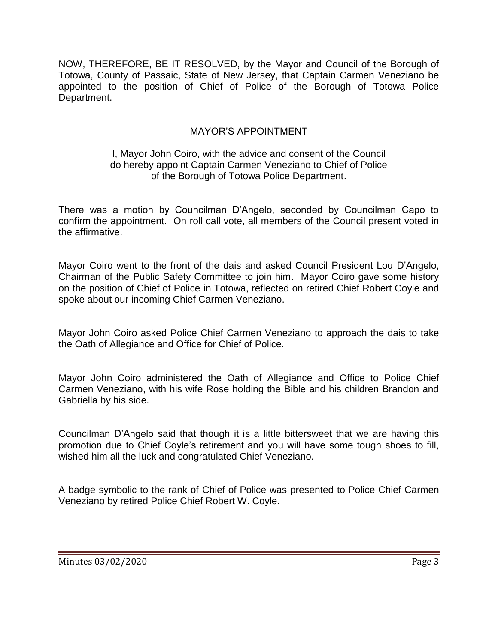NOW, THEREFORE, BE IT RESOLVED, by the Mayor and Council of the Borough of Totowa, County of Passaic, State of New Jersey, that Captain Carmen Veneziano be appointed to the position of Chief of Police of the Borough of Totowa Police Department.

# MAYOR'S APPOINTMENT

# I, Mayor John Coiro, with the advice and consent of the Council do hereby appoint Captain Carmen Veneziano to Chief of Police of the Borough of Totowa Police Department.

There was a motion by Councilman D'Angelo, seconded by Councilman Capo to confirm the appointment. On roll call vote, all members of the Council present voted in the affirmative.

Mayor Coiro went to the front of the dais and asked Council President Lou D'Angelo, Chairman of the Public Safety Committee to join him. Mayor Coiro gave some history on the position of Chief of Police in Totowa, reflected on retired Chief Robert Coyle and spoke about our incoming Chief Carmen Veneziano.

Mayor John Coiro asked Police Chief Carmen Veneziano to approach the dais to take the Oath of Allegiance and Office for Chief of Police.

Mayor John Coiro administered the Oath of Allegiance and Office to Police Chief Carmen Veneziano, with his wife Rose holding the Bible and his children Brandon and Gabriella by his side.

Councilman D'Angelo said that though it is a little bittersweet that we are having this promotion due to Chief Coyle's retirement and you will have some tough shoes to fill, wished him all the luck and congratulated Chief Veneziano.

A badge symbolic to the rank of Chief of Police was presented to Police Chief Carmen Veneziano by retired Police Chief Robert W. Coyle.